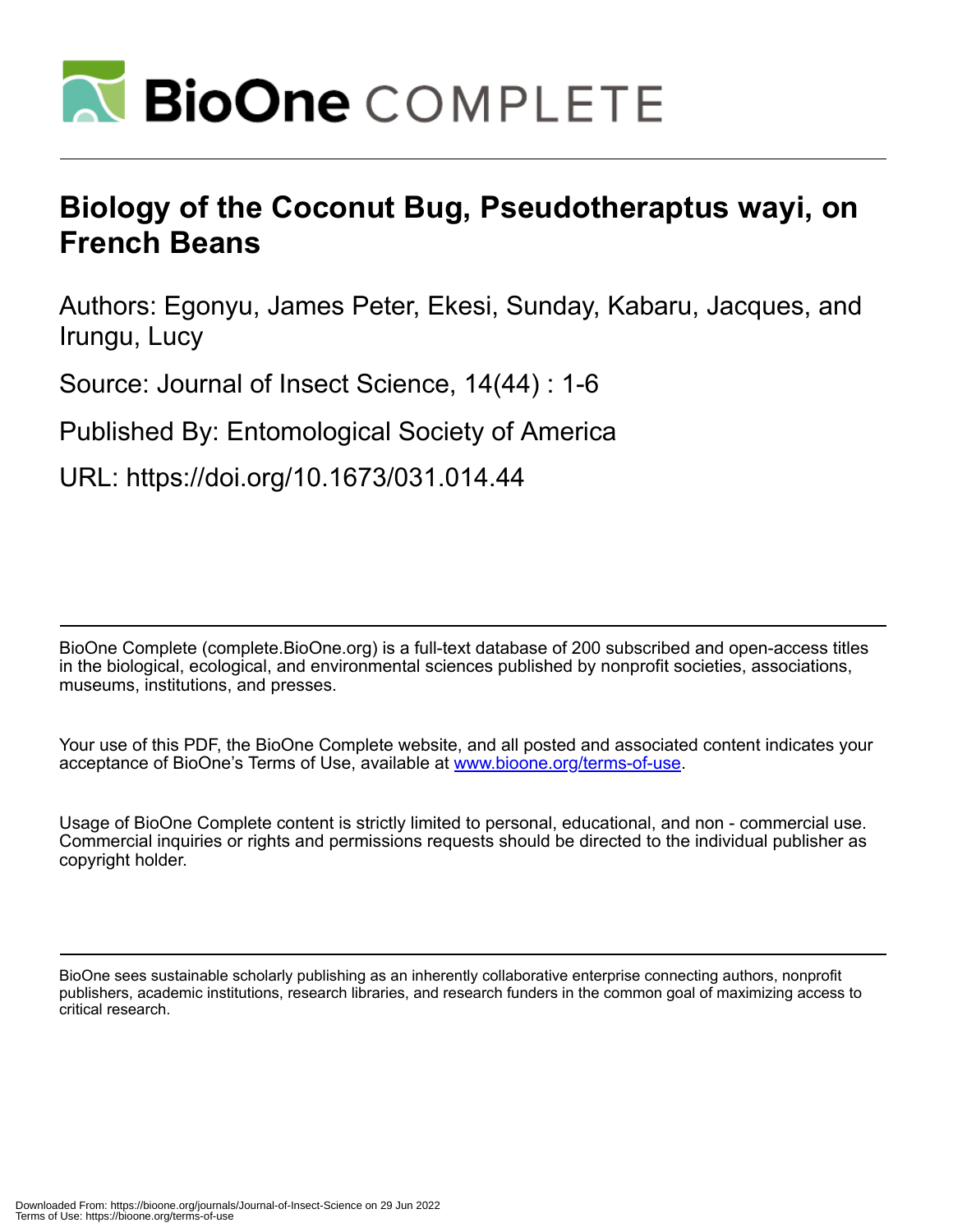

# **Biology of the Coconut Bug, Pseudotheraptus wayi, on French Beans**

Authors: Egonyu, James Peter, Ekesi, Sunday, Kabaru, Jacques, and Irungu, Lucy

Source: Journal of Insect Science, 14(44) : 1-6

Published By: Entomological Society of America

URL: https://doi.org/10.1673/031.014.44

BioOne Complete (complete.BioOne.org) is a full-text database of 200 subscribed and open-access titles in the biological, ecological, and environmental sciences published by nonprofit societies, associations, museums, institutions, and presses.

Your use of this PDF, the BioOne Complete website, and all posted and associated content indicates your acceptance of BioOne's Terms of Use, available at www.bioone.org/terms-of-use.

Usage of BioOne Complete content is strictly limited to personal, educational, and non - commercial use. Commercial inquiries or rights and permissions requests should be directed to the individual publisher as copyright holder.

BioOne sees sustainable scholarly publishing as an inherently collaborative enterprise connecting authors, nonprofit publishers, academic institutions, research libraries, and research funders in the common goal of maximizing access to critical research.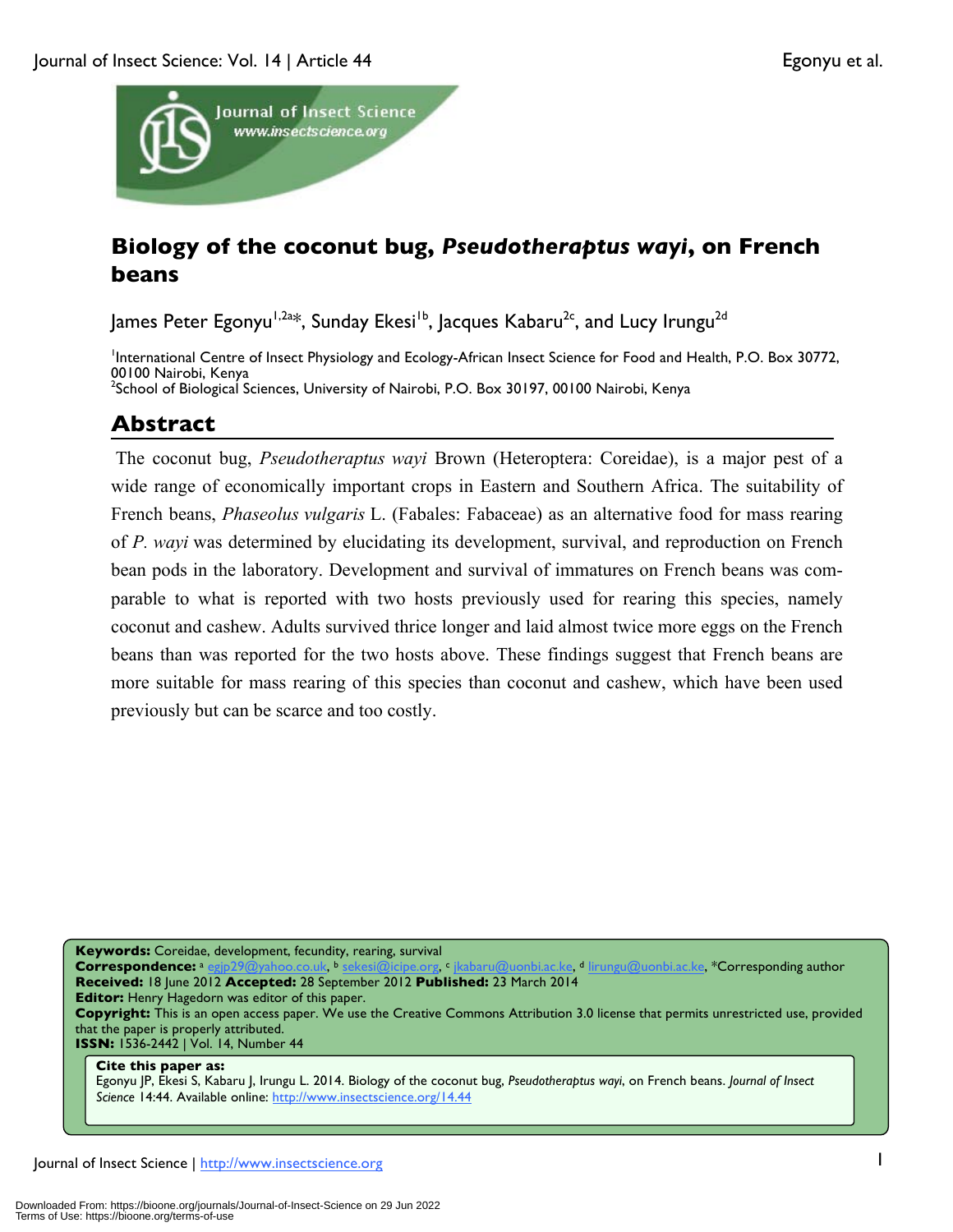

# **Biology of the coconut bug,** *Pseudotheraptus wayi***, on French beans**

James Peter Egonyu<sup>1,2a\*</sup>, Sunday Ekesi<sup>1b</sup>, Jacques Kabaru<sup>2c</sup>, and Lucy Irungu<sup>2d</sup>

International Centre of Insect Physiology and Ecology-African Insect Science for Food and Health, P.O. Box 30772, 00100 Nairobi, Kenya <sup>2</sup>School of Biological Sciences, University of Nairobi, P.O. Box 30197, 00100 Nairobi, Kenya

# **Abstract**

The coconut bug, *Pseudotheraptus wayi* Brown (Heteroptera: Coreidae), is a major pest of a wide range of economically important crops in Eastern and Southern Africa. The suitability of French beans, *Phaseolus vulgaris* L. (Fabales: Fabaceae) as an alternative food for mass rearing of *P. wayi* was determined by elucidating its development, survival, and reproduction on French bean pods in the laboratory. Development and survival of immatures on French beans was comparable to what is reported with two hosts previously used for rearing this species, namely coconut and cashew. Adults survived thrice longer and laid almost twice more eggs on the French beans than was reported for the two hosts above. These findings suggest that French beans are more suitable for mass rearing of this species than coconut and cashew, which have been used previously but can be scarce and too costly.

**Keywords:** Coreidae, development, fecundity, rearing, survival

<u>co.uk</u>, b <u>sekesi@icipe.org, b jkabaru@uonbi.ac.ke, d lirungu@uonbi.ac.ke, \***Corresponding author**</u> **Received:** 18 June 2012 **Accepted:** 28 September 2012 **Published:** 23 March 2014

**Editor:** Henry Hagedorn was editor of this paper.

**Copyright:** This is an open access paper. We use the Creative Commons Attribution 3.0 license that permits unrestricted use, provided that the paper is properly attributed.

**ISSN:** 1536-2442 | Vol. 14, Number 44

**Cite this paper as:**

Egonyu JP, Ekesi S, Kabaru J, Irungu L. 2014. Biology of the coconut bug, *Pseudotheraptus wayi*, on French beans. *Journal of Insect Science* 14:44. Available online: http://www.insectscience.org/14.44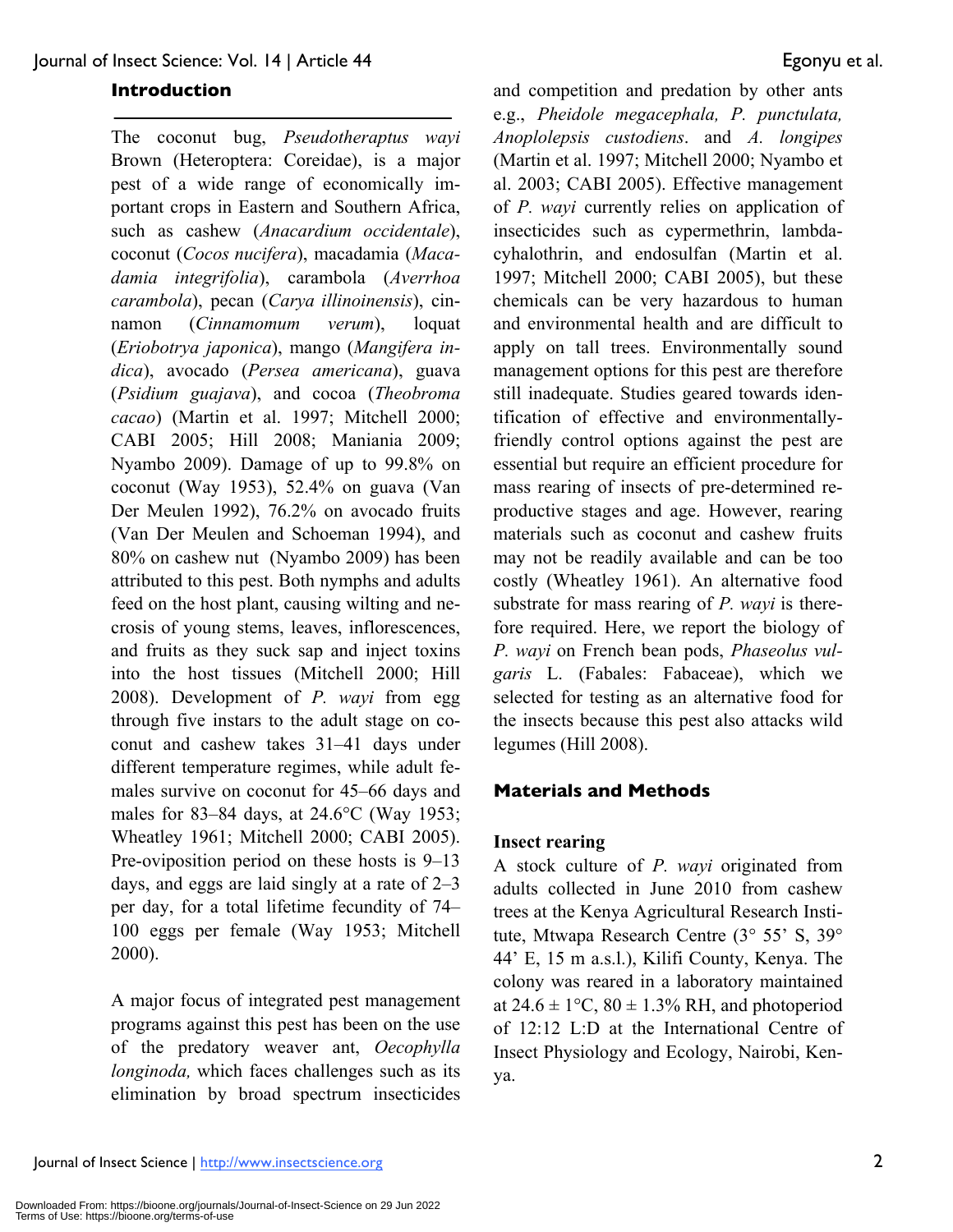### **Introduction**

The coconut bug, *Pseudotheraptus wayi* Brown (Heteroptera: Coreidae), is a major pest of a wide range of economically important crops in Eastern and Southern Africa, such as cashew (*Anacardium occidentale*), coconut (*Cocos nucifera*), macadamia (*Macadamia integrifolia*), carambola (*Averrhoa carambola*), pecan (*Carya illinoinensis*), cinnamon (*Cinnamomum verum*), loquat (*Eriobotrya japonica*), mango (*Mangifera indica*), avocado (*Persea americana*), guava (*Psidium guajava*), and cocoa (*Theobroma cacao*) (Martin et al. 1997; Mitchell 2000; CABI 2005; Hill 2008; Maniania 2009; Nyambo 2009). Damage of up to 99.8% on coconut (Way 1953), 52.4% on guava (Van Der Meulen 1992), 76.2% on avocado fruits (Van Der Meulen and Schoeman 1994), and 80% on cashew nut (Nyambo 2009) has been attributed to this pest. Both nymphs and adults feed on the host plant, causing wilting and necrosis of young stems, leaves, inflorescences, and fruits as they suck sap and inject toxins into the host tissues (Mitchell 2000; Hill 2008). Development of *P. wayi* from egg through five instars to the adult stage on coconut and cashew takes 31–41 days under different temperature regimes, while adult females survive on coconut for 45–66 days and males for 83–84 days, at 24.6°C (Way 1953; Wheatley 1961; Mitchell 2000; CABI 2005). Pre-oviposition period on these hosts is 9–13 days, and eggs are laid singly at a rate of 2–3 per day, for a total lifetime fecundity of 74– 100 eggs per female (Way 1953; Mitchell 2000).

A major focus of integrated pest management programs against this pest has been on the use of the predatory weaver ant, *Oecophylla longinoda,* which faces challenges such as its elimination by broad spectrum insecticides

and competition and predation by other ants e.g., *Pheidole megacephala, P. punctulata, Anoplolepsis custodiens*. and *A. longipes*  (Martin et al. 1997; Mitchell 2000; Nyambo et al. 2003; CABI 2005). Effective management of *P. wayi* currently relies on application of insecticides such as cypermethrin, lambdacyhalothrin, and endosulfan (Martin et al. 1997; Mitchell 2000; CABI 2005), but these chemicals can be very hazardous to human and environmental health and are difficult to apply on tall trees. Environmentally sound management options for this pest are therefore still inadequate. Studies geared towards identification of effective and environmentallyfriendly control options against the pest are essential but require an efficient procedure for mass rearing of insects of pre-determined reproductive stages and age. However, rearing materials such as coconut and cashew fruits may not be readily available and can be too costly (Wheatley 1961). An alternative food substrate for mass rearing of *P. wayi* is therefore required. Here, we report the biology of *P. wayi* on French bean pods, *Phaseolus vulgaris* L. (Fabales: Fabaceae), which we selected for testing as an alternative food for the insects because this pest also attacks wild legumes (Hill 2008).

# **Materials and Methods**

#### **Insect rearing**

A stock culture of *P. wayi* originated from adults collected in June 2010 from cashew trees at the Kenya Agricultural Research Institute, Mtwapa Research Centre (3° 55' S, 39° 44' E, 15 m a.s.l.), Kilifi County, Kenya. The colony was reared in a laboratory maintained at  $24.6 \pm 1$ °C,  $80 \pm 1.3$ % RH, and photoperiod of 12:12 L:D at the International Centre of Insect Physiology and Ecology, Nairobi, Kenya.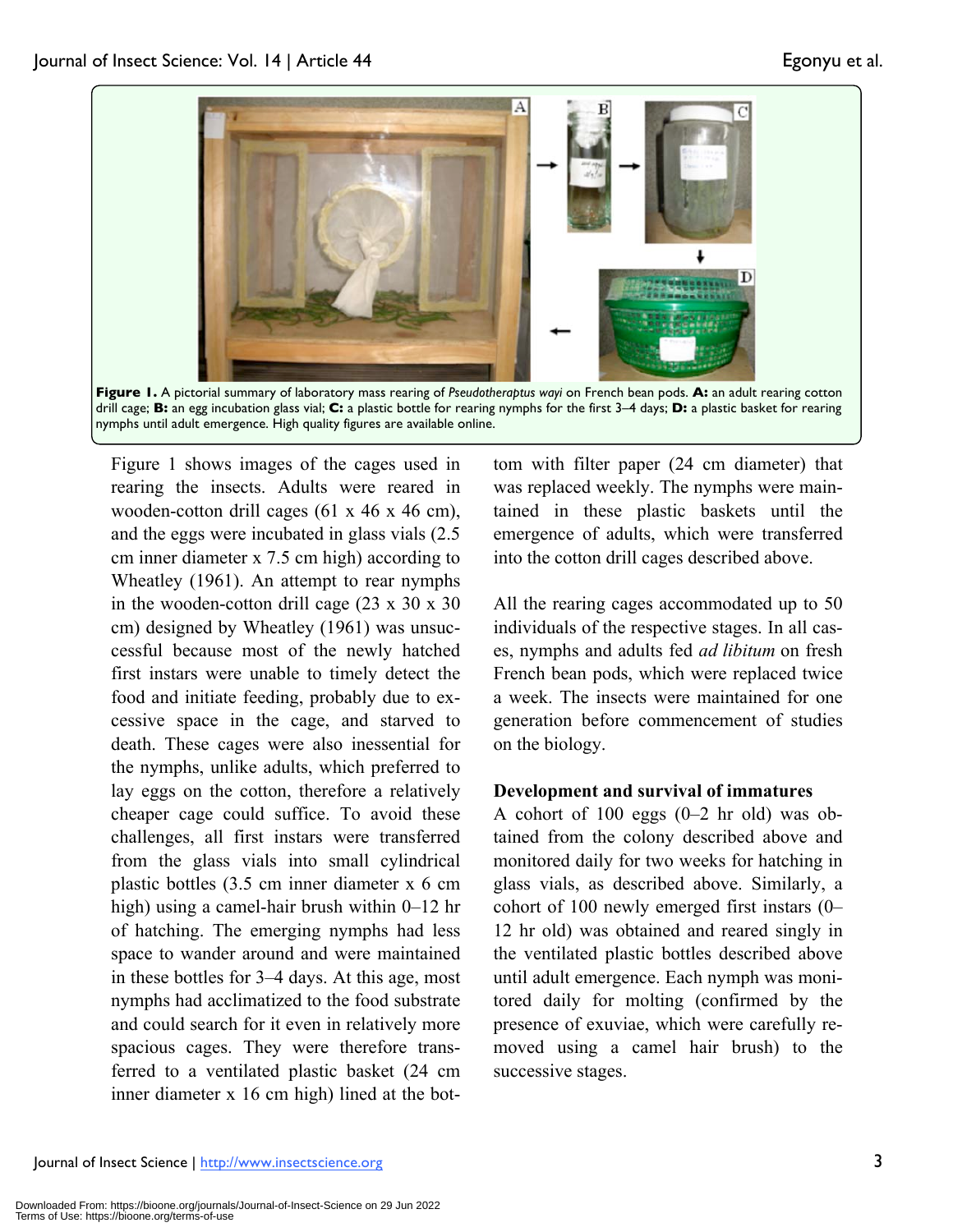

Figure 1 shows images of the cages used in rearing the insects. Adults were reared in wooden-cotton drill cages (61 x 46 x 46 cm), and the eggs were incubated in glass vials (2.5 cm inner diameter x 7.5 cm high) according to Wheatley (1961). An attempt to rear nymphs in the wooden-cotton drill cage (23 x 30 x 30 cm) designed by Wheatley (1961) was unsuccessful because most of the newly hatched first instars were unable to timely detect the food and initiate feeding, probably due to excessive space in the cage, and starved to death. These cages were also inessential for the nymphs, unlike adults, which preferred to lay eggs on the cotton, therefore a relatively cheaper cage could suffice. To avoid these challenges, all first instars were transferred from the glass vials into small cylindrical plastic bottles (3.5 cm inner diameter x 6 cm high) using a camel-hair brush within 0–12 hr of hatching. The emerging nymphs had less space to wander around and were maintained in these bottles for 3–4 days. At this age, most nymphs had acclimatized to the food substrate and could search for it even in relatively more spacious cages. They were therefore transferred to a ventilated plastic basket (24 cm inner diameter x 16 cm high) lined at the bot-

tom with filter paper (24 cm diameter) that was replaced weekly. The nymphs were maintained in these plastic baskets until the emergence of adults, which were transferred into the cotton drill cages described above.

All the rearing cages accommodated up to 50 individuals of the respective stages. In all cases, nymphs and adults fed *ad libitum* on fresh French bean pods, which were replaced twice a week. The insects were maintained for one generation before commencement of studies on the biology.

#### **Development and survival of immatures**

A cohort of 100 eggs (0–2 hr old) was obtained from the colony described above and monitored daily for two weeks for hatching in glass vials, as described above. Similarly, a cohort of 100 newly emerged first instars (0– 12 hr old) was obtained and reared singly in the ventilated plastic bottles described above until adult emergence. Each nymph was monitored daily for molting (confirmed by the presence of exuviae, which were carefully removed using a camel hair brush) to the successive stages.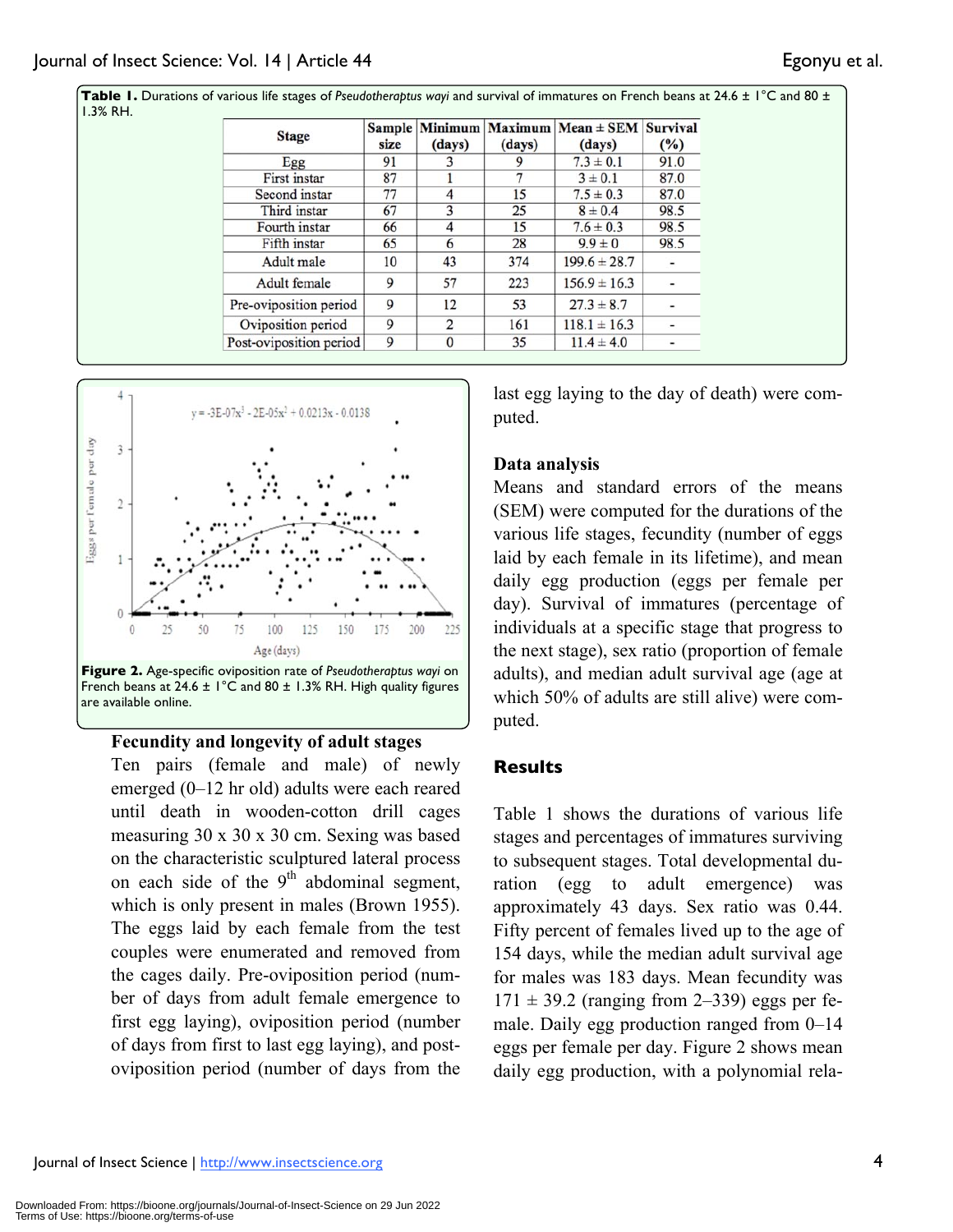| <b>Stage</b>            | size | (days)   | (days) | $Sample$   Minimum   Maximum   Mean $\pm$ SEM   Survival<br>(days) | (%)                          |
|-------------------------|------|----------|--------|--------------------------------------------------------------------|------------------------------|
| Egg                     | 91   |          |        | $7.3 \pm 0.1$                                                      | 91.0                         |
| First instar            | 87   |          |        | $3 \pm 0.1$                                                        | 87.0                         |
| Second instar           | 77   | 4        | 15     | $7.5 \pm 0.3$                                                      | 87.0                         |
| Third instar            | 67   |          | 25     | $8 \pm 0.4$                                                        | 98.5                         |
| Fourth instar           | 66   | 4        | 15     | $7.6 \pm 0.3$                                                      | 98.5                         |
| Fifth instar            | 65   | 6        | 28     | $9.9 \pm 0$                                                        | 98.5                         |
| Adult male              | 10   | 43       | 374    | $199.6 \pm 28.7$                                                   | $\overline{\phantom{a}}$     |
| Adult female            | 9    | 57       | 223    | $156.9 \pm 16.3$                                                   | $\qquad \qquad \blacksquare$ |
| Pre-oviposition period  | 9    | 12       | 53     | $27.3 \pm 8.7$                                                     |                              |
| Oviposition period      | 9    | 2        | 161    | $118.1 \pm 16.3$                                                   | $\overline{\phantom{a}}$     |
| Post-oviposition period | 9    | $\bf{0}$ | 35     | $11.4 \pm 4.0$                                                     |                              |





French beans at 24.6  $\pm$  1°C and 80  $\pm$  1.3% RH. High quality figures are available online.

# **Fecundity and longevity of adult stages**

Ten pairs (female and male) of newly emerged (0–12 hr old) adults were each reared until death in wooden-cotton drill cages measuring 30 x 30 x 30 cm. Sexing was based on the characteristic sculptured lateral process on each side of the  $9<sup>th</sup>$  abdominal segment, which is only present in males (Brown 1955). The eggs laid by each female from the test couples were enumerated and removed from the cages daily. Pre-oviposition period (number of days from adult female emergence to first egg laying), oviposition period (number of days from first to last egg laying), and postoviposition period (number of days from the

last egg laying to the day of death) were computed.

### **Data analysis**

Means and standard errors of the means (SEM) were computed for the durations of the various life stages, fecundity (number of eggs laid by each female in its lifetime), and mean daily egg production (eggs per female per day). Survival of immatures (percentage of individuals at a specific stage that progress to the next stage), sex ratio (proportion of female adults), and median adult survival age (age at which 50% of adults are still alive) were computed.

# **Results**

Table 1 shows the durations of various life stages and percentages of immatures surviving to subsequent stages. Total developmental duration (egg to adult emergence) was approximately 43 days. Sex ratio was 0.44. Fifty percent of females lived up to the age of 154 days, while the median adult survival age for males was 183 days. Mean fecundity was  $171 \pm 39.2$  (ranging from 2–339) eggs per female. Daily egg production ranged from 0–14 eggs per female per day. Figure 2 shows mean daily egg production, with a polynomial rela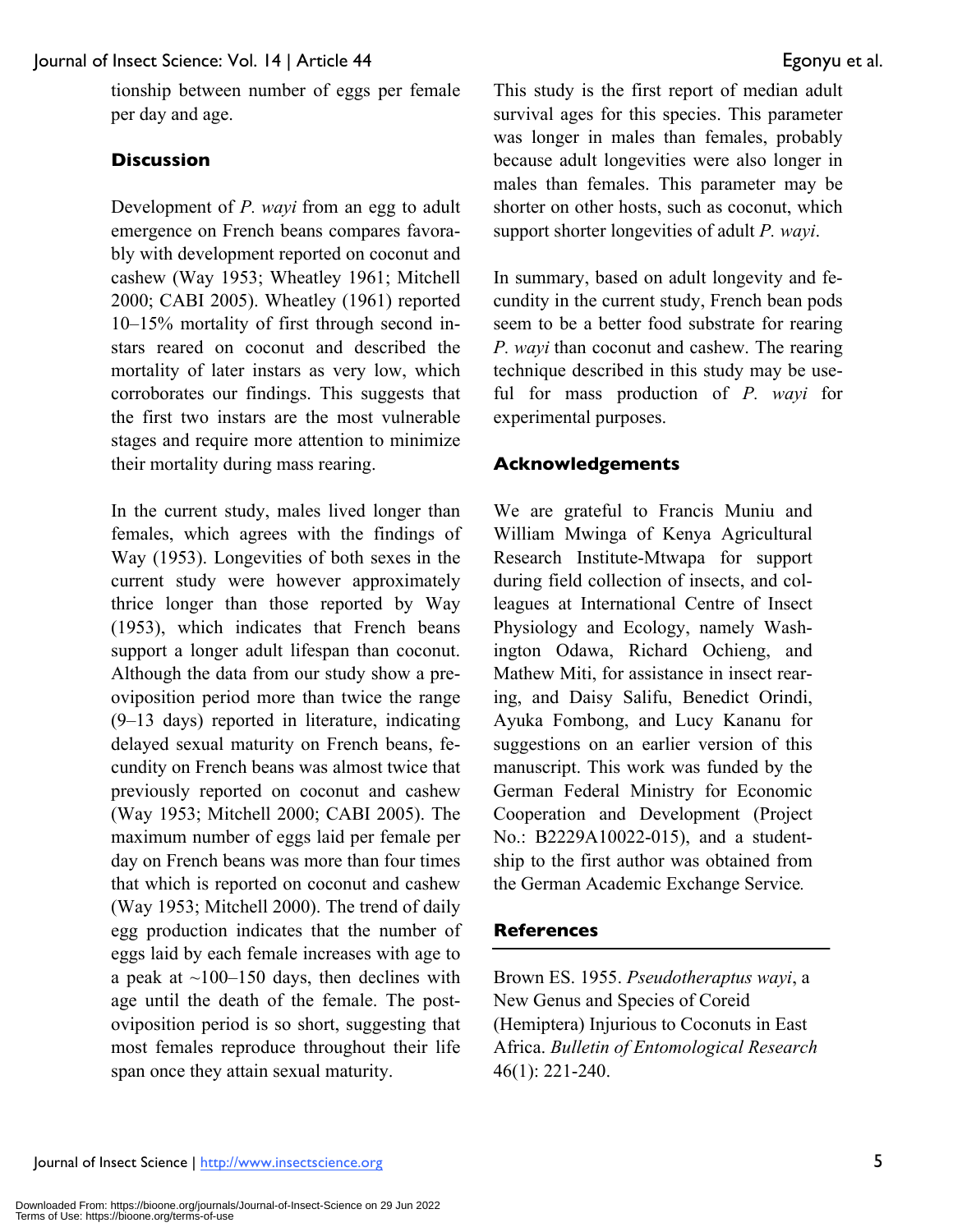tionship between number of eggs per female per day and age.

# **Discussion**

Development of *P. wayi* from an egg to adult emergence on French beans compares favorably with development reported on coconut and cashew (Way 1953; Wheatley 1961; Mitchell 2000; CABI 2005). Wheatley (1961) reported 10–15% mortality of first through second instars reared on coconut and described the mortality of later instars as very low, which corroborates our findings. This suggests that the first two instars are the most vulnerable stages and require more attention to minimize their mortality during mass rearing.

In the current study, males lived longer than females, which agrees with the findings of Way (1953). Longevities of both sexes in the current study were however approximately thrice longer than those reported by Way (1953), which indicates that French beans support a longer adult lifespan than coconut. Although the data from our study show a preoviposition period more than twice the range (9–13 days) reported in literature, indicating delayed sexual maturity on French beans, fecundity on French beans was almost twice that previously reported on coconut and cashew (Way 1953; Mitchell 2000; CABI 2005). The maximum number of eggs laid per female per day on French beans was more than four times that which is reported on coconut and cashew (Way 1953; Mitchell 2000). The trend of daily egg production indicates that the number of eggs laid by each female increases with age to a peak at  $\sim$ 100–150 days, then declines with age until the death of the female. The postoviposition period is so short, suggesting that most females reproduce throughout their life span once they attain sexual maturity.

This study is the first report of median adult survival ages for this species. This parameter was longer in males than females, probably because adult longevities were also longer in males than females. This parameter may be shorter on other hosts, such as coconut, which support shorter longevities of adult *P. wayi*.

In summary, based on adult longevity and fecundity in the current study, French bean pods seem to be a better food substrate for rearing *P. wayi* than coconut and cashew. The rearing technique described in this study may be useful for mass production of *P. wayi* for experimental purposes.

### **Acknowledgements**

We are grateful to Francis Muniu and William Mwinga of Kenya Agricultural Research Institute-Mtwapa for support during field collection of insects, and colleagues at International Centre of Insect Physiology and Ecology, namely Washington Odawa, Richard Ochieng, and Mathew Miti, for assistance in insect rearing, and Daisy Salifu, Benedict Orindi, Ayuka Fombong, and Lucy Kananu for suggestions on an earlier version of this manuscript. This work was funded by the German Federal Ministry for Economic Cooperation and Development (Project No.: B2229A10022-015), and a studentship to the first author was obtained from the German Academic Exchange Service*.*

# **References**

Brown ES. 1955. *Pseudotheraptus wayi*, a New Genus and Species of Coreid (Hemiptera) Injurious to Coconuts in East Africa. *Bulletin of Entomological Research* 46(1): 221-240.